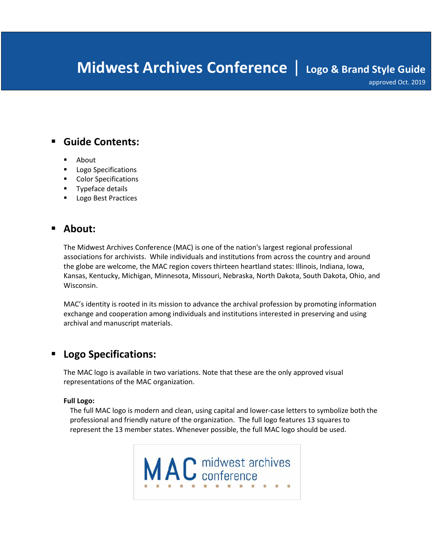# **Midwest Archives Conference** | **Logo & Brand Style Guide**

approved Oct. 2019

# **Guide Contents:**

- About
- Logo Specifications
- **Color Specifications**
- **Typeface details**
- **Logo Best Practices**

# **About:**

The Midwest Archives Conference (MAC) is one of the nation's largest regional professional associations for archivists. While individuals and institutions from across the country and around the globe are welcome, the MAC region covers thirteen heartland states: Illinois, Indiana, Iowa, Kansas, Kentucky, Michigan, Minnesota, Missouri, Nebraska, North Dakota, South Dakota, Ohio, and Wisconsin.

MAC's identity is rooted in its mission to advance the archival profession by promoting information exchange and cooperation among individuals and institutions interested in preserving and using archival and manuscript materials.

# **Logo Specifications:**

The MAC logo is available in two variations. Note that these are the only approved visual representations of the MAC organization.

#### **Full Logo:**

The full MAC logo is modern and clean, using capital and lower-case letters to symbolize both the professional and friendly nature of the organization. The full logo features 13 squares to represent the 13 member states. Whenever possible, the full MAC logo should be used.

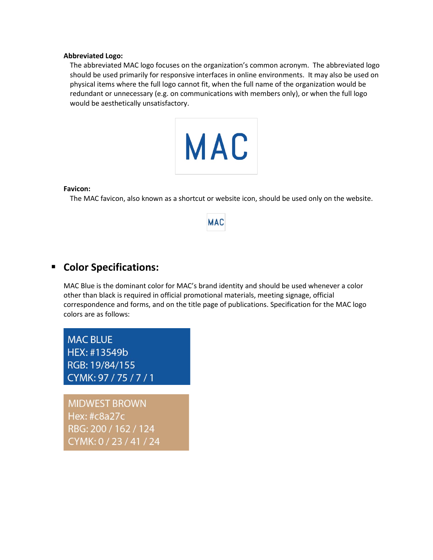#### **Abbreviated Logo:**

The abbreviated MAC logo focuses on the organization's common acronym. The abbreviated logo should be used primarily for responsive interfaces in online environments. It may also be used on physical items where the full logo cannot fit, when the full name of the organization would be redundant or unnecessary (e.g. on communications with members only), or when the full logo would be aesthetically unsatisfactory.



#### **Favicon:**

The MAC favicon, also known as a shortcut or website icon, should be used only on the website.

# **MAC**

### **Color Specifications:**

MAC Blue is the dominant color for MAC's brand identity and should be used whenever a color other than black is required in official promotional materials, meeting signage, official correspondence and forms, and on the title page of publications. Specification for the MAC logo colors are as follows:

**MAC BLUE** HEX: #13549b RGB: 19/84/155 CYMK: 97 / 75 / 7 / 1

**MIDWEST BROWN** Hex: #c8a27c RBG: 200 / 162 / 124 CYMK: 0 / 23 / 41 / 24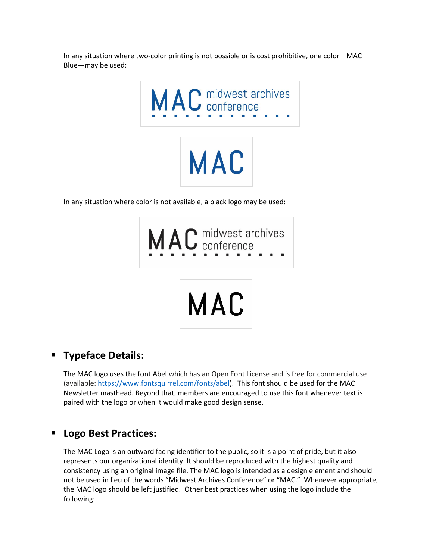In any situation where two-color printing is not possible or is cost prohibitive, one color—MAC Blue—may be used:



In any situation where color is not available, a black logo may be used:



# **Typeface Details:**

The MAC logo uses the font Abel which has an Open Font License and is free for commercial use (available: [https://www.fontsquirrel.com/fonts/abel\)](https://www.fontsquirrel.com/fonts/abel). This font should be used for the MAC Newsletter masthead. Beyond that, members are encouraged to use this font whenever text is paired with the logo or when it would make good design sense.

# **Logo Best Practices:**

The MAC Logo is an outward facing identifier to the public, so it is a point of pride, but it also represents our organizational identity. It should be reproduced with the highest quality and consistency using an original image file. The MAC logo is intended as a design element and should not be used in lieu of the words "Midwest Archives Conference" or "MAC." Whenever appropriate, the MAC logo should be left justified. Other best practices when using the logo include the following: